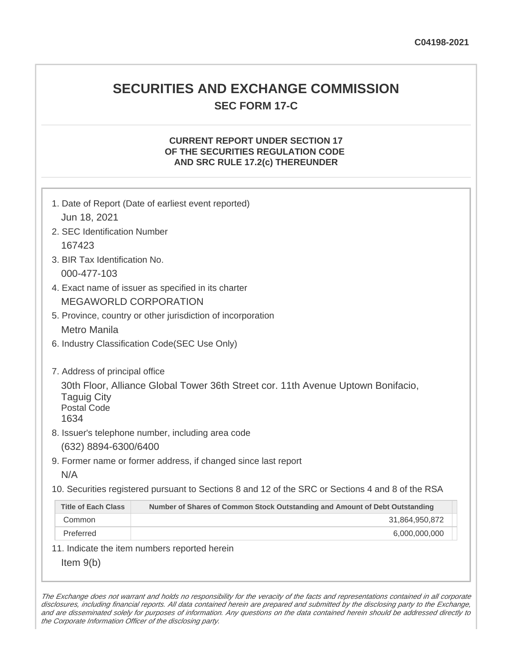## **SECURITIES AND EXCHANGE COMMISSION SEC FORM 17-C**

## **CURRENT REPORT UNDER SECTION 17 OF THE SECURITIES REGULATION CODE AND SRC RULE 17.2(c) THEREUNDER**

| Jun 18, 2021                                                                                      | 1. Date of Report (Date of earliest event reported)                              |  |  |  |  |
|---------------------------------------------------------------------------------------------------|----------------------------------------------------------------------------------|--|--|--|--|
| 2. SEC Identification Number                                                                      |                                                                                  |  |  |  |  |
| 167423                                                                                            |                                                                                  |  |  |  |  |
| 3. BIR Tax Identification No.                                                                     |                                                                                  |  |  |  |  |
| 000-477-103                                                                                       |                                                                                  |  |  |  |  |
| 4. Exact name of issuer as specified in its charter                                               |                                                                                  |  |  |  |  |
| <b>MEGAWORLD CORPORATION</b>                                                                      |                                                                                  |  |  |  |  |
|                                                                                                   | 5. Province, country or other jurisdiction of incorporation                      |  |  |  |  |
| <b>Metro Manila</b>                                                                               |                                                                                  |  |  |  |  |
|                                                                                                   | 6. Industry Classification Code(SEC Use Only)                                    |  |  |  |  |
|                                                                                                   |                                                                                  |  |  |  |  |
| 7. Address of principal office                                                                    |                                                                                  |  |  |  |  |
| <b>Taguig City</b><br><b>Postal Code</b><br>1634                                                  | 30th Floor, Alliance Global Tower 36th Street cor. 11th Avenue Uptown Bonifacio, |  |  |  |  |
| 8. Issuer's telephone number, including area code                                                 |                                                                                  |  |  |  |  |
| (632) 8894-6300/6400                                                                              |                                                                                  |  |  |  |  |
| 9. Former name or former address, if changed since last report                                    |                                                                                  |  |  |  |  |
| N/A                                                                                               |                                                                                  |  |  |  |  |
| 10. Securities registered pursuant to Sections 8 and 12 of the SRC or Sections 4 and 8 of the RSA |                                                                                  |  |  |  |  |
| <b>Title of Each Class</b>                                                                        | Number of Shares of Common Stock Outstanding and Amount of Debt Outstanding      |  |  |  |  |
| Common                                                                                            | 31,864,950,872                                                                   |  |  |  |  |
| Preferred                                                                                         | 6,000,000,000                                                                    |  |  |  |  |
|                                                                                                   | 11. Indicate the item numbers reported herein                                    |  |  |  |  |
| Item $9(b)$                                                                                       |                                                                                  |  |  |  |  |

The Exchange does not warrant and holds no responsibility for the veracity of the facts and representations contained in all corporate disclosures, including financial reports. All data contained herein are prepared and submitted by the disclosing party to the Exchange, and are disseminated solely for purposes of information. Any questions on the data contained herein should be addressed directly to the Corporate Information Officer of the disclosing party.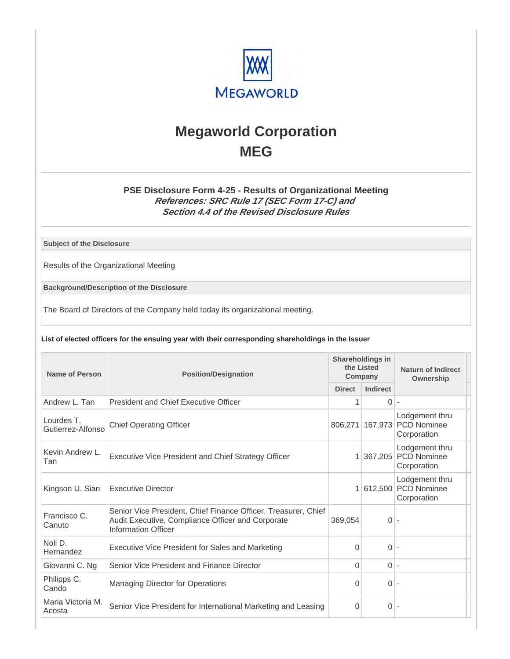

# **Megaworld Corporation MEG**

## **PSE Disclosure Form 4-25 - Results of Organizational Meeting References: SRC Rule 17 (SEC Form 17-C) and Section 4.4 of the Revised Disclosure Rules**

**Subject of the Disclosure**

Results of the Organizational Meeting

**Background/Description of the Disclosure**

The Board of Directors of the Company held today its organizational meeting.

#### **List of elected officers for the ensuing year with their corresponding shareholdings in the Issuer**

| Name of Person                  | <b>Position/Designation</b>                                                                                                                       |               | <b>Shareholdings in</b><br>the Listed<br>Company | Nature of Indirect<br>Ownership                     |
|---------------------------------|---------------------------------------------------------------------------------------------------------------------------------------------------|---------------|--------------------------------------------------|-----------------------------------------------------|
|                                 |                                                                                                                                                   | <b>Direct</b> | <b>Indirect</b>                                  |                                                     |
| Andrew L. Tan                   | <b>President and Chief Executive Officer</b>                                                                                                      |               | $\Omega$                                         | $\overline{\phantom{a}}$                            |
| Lourdes T.<br>Gutierrez-Alfonso | <b>Chief Operating Officer</b>                                                                                                                    |               | 806,271 167,973                                  | Lodgement thru<br><b>PCD Nominee</b><br>Corporation |
| Kevin Andrew L.<br>Tan          | Executive Vice President and Chief Strategy Officer                                                                                               |               | 1 367,205                                        | Lodgement thru<br><b>PCD Nominee</b><br>Corporation |
| Kingson U. Sian                 | <b>Executive Director</b>                                                                                                                         |               | 1 612,500                                        | Lodgement thru<br><b>PCD Nominee</b><br>Corporation |
| Francisco C.<br>Canuto          | Senior Vice President, Chief Finance Officer, Treasurer, Chief<br>Audit Executive, Compliance Officer and Corporate<br><b>Information Officer</b> | 369.054       | 0                                                |                                                     |
| Noli D.<br>Hernandez            | Executive Vice President for Sales and Marketing                                                                                                  | $\Omega$      | $\Omega$                                         |                                                     |
| Giovanni C. Ng                  | Senior Vice President and Finance Director                                                                                                        | $\Omega$      | $0 -$                                            |                                                     |
| Philipps C.<br>Cando            | <b>Managing Director for Operations</b>                                                                                                           | $\Omega$      | $0 -$                                            |                                                     |
| Maria Victoria M.<br>Acosta     | Senior Vice President for International Marketing and Leasing                                                                                     | $\Omega$      | $\Omega$                                         |                                                     |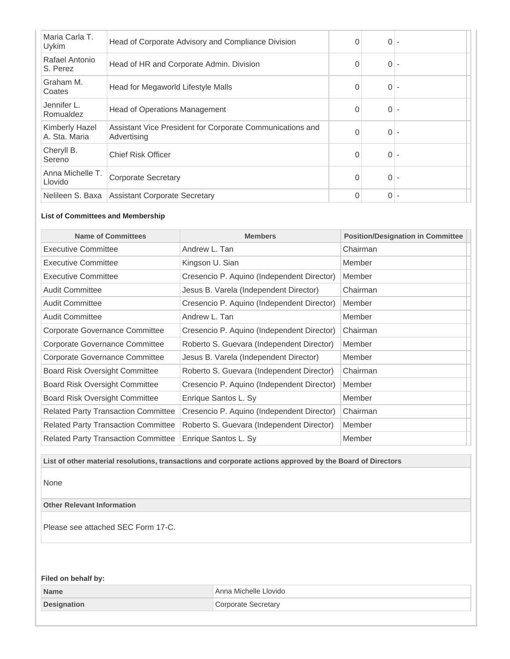| Head of Corporate Advisory and Compliance Division                       | $\Omega$ | 0 |  |
|--------------------------------------------------------------------------|----------|---|--|
| Head of HR and Corporate Admin. Division                                 | 0        | 0 |  |
| Head for Megaworld Lifestyle Malls                                       | $\Omega$ | 0 |  |
| <b>Head of Operations Management</b>                                     | $\Omega$ | 0 |  |
| Assistant Vice President for Corporate Communications and<br>Advertising | $\Omega$ | 0 |  |
| <b>Chief Risk Officer</b>                                                | $\Omega$ | 0 |  |
| <b>Corporate Secretary</b>                                               | $\Omega$ | 0 |  |
| <b>Assistant Corporate Secretary</b>                                     | $\Omega$ | 0 |  |
|                                                                          |          |   |  |

#### **List of Committees and Membership**

| <b>Name of Committees</b>                  | <b>Members</b>                             | <b>Position/Designation in Committee</b> |
|--------------------------------------------|--------------------------------------------|------------------------------------------|
| <b>Executive Committee</b>                 | Andrew L. Tan                              | Chairman                                 |
| Executive Committee                        | Kingson U. Sian                            | Member                                   |
| <b>Executive Committee</b>                 | Cresencio P. Aquino (Independent Director) | Member                                   |
| <b>Audit Committee</b>                     | Jesus B. Varela (Independent Director)     | Chairman                                 |
| <b>Audit Committee</b>                     | Cresencio P. Aquino (Independent Director) | Member                                   |
| <b>Audit Committee</b>                     | Andrew L. Tan                              | Member                                   |
| Corporate Governance Committee             | Cresencio P. Aquino (Independent Director) | Chairman                                 |
| Corporate Governance Committee             | Roberto S. Guevara (Independent Director)  | Member                                   |
| Corporate Governance Committee             | Jesus B. Varela (Independent Director)     | Member                                   |
| <b>Board Risk Oversight Committee</b>      | Roberto S. Guevara (Independent Director)  | Chairman                                 |
| <b>Board Risk Oversight Committee</b>      | Cresencio P. Aquino (Independent Director) | Member                                   |
| Board Risk Oversight Committee             | Enrique Santos L. Sy                       | Member                                   |
| <b>Related Party Transaction Committee</b> | Cresencio P. Aquino (Independent Director) | Chairman                                 |
| <b>Related Party Transaction Committee</b> | Roberto S. Guevara (Independent Director)  | Member                                   |
| <b>Related Party Transaction Committee</b> | Enrique Santos L. Sy                       | Member                                   |

**List of other material resolutions, transactions and corporate actions approved by the Board of Directors**

None

**Other Relevant Information**

Please see attached SEC Form 17-C.

**Filed on behalf by:**

| <b>Name</b>        | Anna Michelle Llovido |
|--------------------|-----------------------|
| <b>Designation</b> | ∹ecretarv             |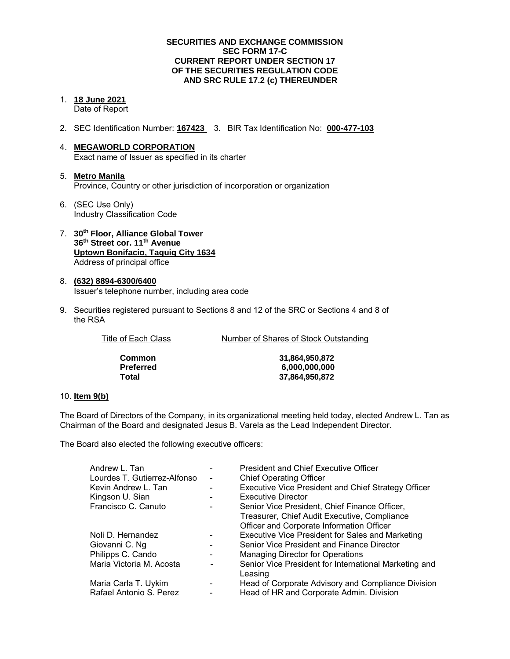#### **SECURITIES AND EXCHANGE COMMISSION SEC FORM 17-C CURRENT REPORT UNDER SECTION 17 OF THE SECURITIES REGULATION CODE AND SRC RULE 17.2 (c) THEREUNDER**

- 1. **18 June 2021**  Date of Report
- 2. SEC Identification Number: **167423** 3. BIR Tax Identification No: **000-477-103**
- 4. **MEGAWORLD CORPORATION**  Exact name of Issuer as specified in its charter
- 5. **Metro Manila** Province, Country or other jurisdiction of incorporation or organization
- 6. (SEC Use Only) Industry Classification Code
- 7. **30th Floor, Alliance Global Tower 36th Street cor. 11th Avenue Uptown Bonifacio, Taguig City 1634** Address of principal office
- 8. **(632) 8894-6300/6400**  Issuer's telephone number, including area code
- 9. Securities registered pursuant to Sections 8 and 12 of the SRC or Sections 4 and 8 of the RSA

| Title of Each Class | Number of Shares of Stock Outstanding |
|---------------------|---------------------------------------|
| <b>Common</b>       | 31.864.950.872                        |
| <b>Preferred</b>    | 6,000,000,000                         |
| Total               | 37,864,950,872                        |

#### 10. **Item 9(b)**

The Board of Directors of the Company, in its organizational meeting held today, elected Andrew L. Tan as Chairman of the Board and designated Jesus B. Varela as the Lead Independent Director.

The Board also elected the following executive officers:

| Andrew L. Tan                |                              | <b>President and Chief Executive Officer</b>                     |  |  |
|------------------------------|------------------------------|------------------------------------------------------------------|--|--|
| Lourdes T. Gutierrez-Alfonso |                              | <b>Chief Operating Officer</b>                                   |  |  |
| Kevin Andrew L. Tan          |                              | <b>Executive Vice President and Chief Strategy Officer</b>       |  |  |
| Kingson U. Sian              |                              | <b>Executive Director</b>                                        |  |  |
| Francisco C. Canuto          |                              | Senior Vice President, Chief Finance Officer,                    |  |  |
|                              |                              | Treasurer, Chief Audit Executive, Compliance                     |  |  |
|                              |                              | Officer and Corporate Information Officer                        |  |  |
| Noli D. Hernandez            |                              | Executive Vice President for Sales and Marketing                 |  |  |
| Giovanni C. Ng               |                              | Senior Vice President and Finance Director                       |  |  |
| Philipps C. Cando            | $\overline{\phantom{a}}$     | Managing Director for Operations                                 |  |  |
| Maria Victoria M. Acosta     | $\qquad \qquad \blacksquare$ | Senior Vice President for International Marketing and<br>Leasing |  |  |
| Maria Carla T. Uykim         |                              | Head of Corporate Advisory and Compliance Division               |  |  |
| Rafael Antonio S. Perez      |                              | Head of HR and Corporate Admin. Division                         |  |  |